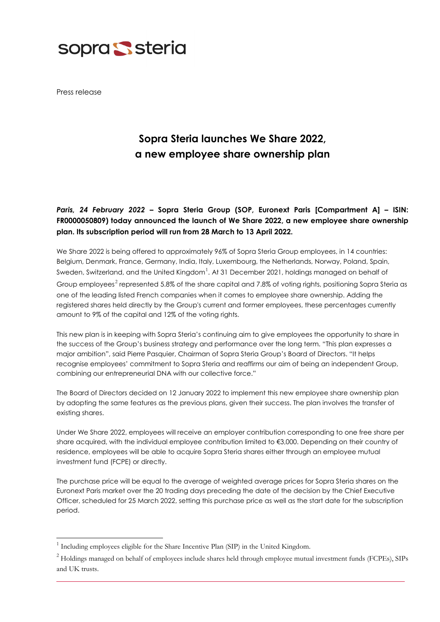

Press release

-

# **Sopra Steria launches We Share 2022, a new employee share ownership plan**

# *Paris, 24 February 2022* **– Sopra Steria Group (SOP, Euronext Paris [Compartment A] – ISIN: FR0000050809) today announced the launch of We Share 2022, a new employee share ownership plan. Its subscription period will run from 28 March to 13 April 2022.**

We Share 2022 is being offered to approximately 96% of Sopra Steria Group employees, in 14 countries: Belgium, Denmark, France, Germany, India, Italy, Luxembourg, the Netherlands, Norway, Poland, Spain, Sweden, Switzerland, and the United Kingdom $^1$  $^1$ . At 31 December 2021, holdings managed on behalf of Group employees<sup>[2](#page-0-1)</sup> represented 5.8% of the share capital and 7.8% of voting rights, positioning Sopra Steria as one of the leading listed French companies when it comes to employee share ownership. Adding the registered shares held directly by the Group's current and former employees, these percentages currently amount to 9% of the capital and 12% of the voting rights.

This new plan is in keeping with Sopra Steria's continuing aim to give employees the opportunity to share in the success of the Group's business strategy and performance over the long term. "This plan expresses a major ambition", said Pierre Pasquier, Chairman of Sopra Steria Group's Board of Directors. "It helps recognise employees' commitment to Sopra Steria and reaffirms our aim of being an independent Group, combining our entrepreneurial DNA with our collective force."

The Board of Directors decided on 12 January 2022 to implement this new employee share ownership plan by adopting the same features as the previous plans, given their success. The plan involves the transfer of existing shares.

Under We Share 2022, employees will receive an employer contribution corresponding to one free share per share acquired, with the individual employee contribution limited to €3,000. Depending on their country of residence, employees will be able to acquire Sopra Steria shares either through an employee mutual investment fund (FCPE) or directly.

The purchase price will be equal to the average of weighted average prices for Sopra Steria shares on the Euronext Paris market over the 20 trading days preceding the date of the decision by the Chief Executive Officer, scheduled for 25 March 2022, setting this purchase price as well as the start date for the subscription period.

<span id="page-0-0"></span><sup>&</sup>lt;sup>1</sup> Including employees eligible for the Share Incentive Plan (SIP) in the United Kingdom.

<span id="page-0-1"></span><sup>&</sup>lt;sup>2</sup> Holdings managed on behalf of employees include shares held through employee mutual investment funds (FCPEs), SIPs and UK trusts.